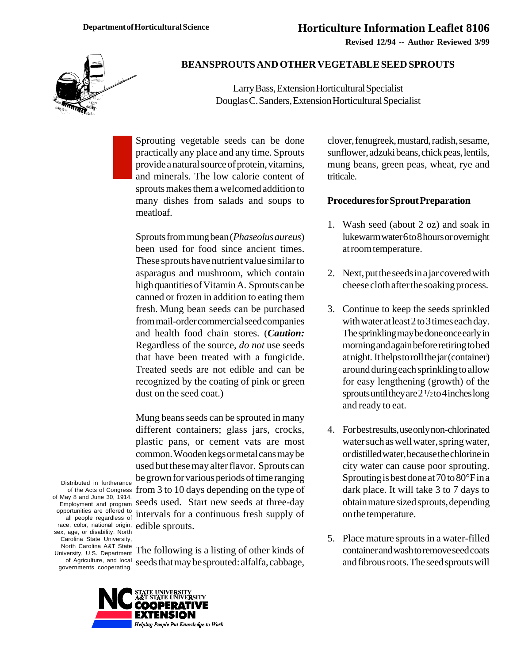**Revised 12/94 -- Author Reviewed 3/99**



## **BEANSPROUTS AND OTHER VEGETABLE SEED SPROUTS**

Larry Bass, Extension Horticultural Specialist Douglas C. Sanders, Extension Horticultural Specialist

Sprouting vegetable seeds can be done practically any place and any time. Sprouts provide a natural source of protein, vitamins, and minerals. The low calorie content of sprouts makes them a welcomed addition to many dishes from salads and soups to meatloaf.

Sprouts from mung bean (*Phaseolus aureus*) been used for food since ancient times. These sprouts have nutrient value similar to asparagus and mushroom, which contain high quantities of Vitamin A. Sprouts can be canned or frozen in addition to eating them fresh. Mung bean seeds can be purchased from mail-order commercial seed companies and health food chain stores. (*Caution:* Regardless of the source, *do not* use seeds that have been treated with a fungicide. Treated seeds are not edible and can be recognized by the coating of pink or green dust on the seed coat.)

of the Acts of Congress from 3 to 10 days depending on the type of Mung beans seeds can be sprouted in many different containers; glass jars, crocks, plastic pans, or cement vats are most common. Wooden kegs or metal cans may be used but these may alter flavor. Sprouts can be grown for various periods of time ranging seeds used. Start new seeds at three-day intervals for a continuous fresh supply of edible sprouts.

Distributed in furtherance of May 8 and June 30, 1914. Employment and program opportunities are offered to all people regardless of race, color, national origin, sex, age, or disability. North Carolina State University, North Carolina A&T State University, U.S. Department of Agriculture, and local governments cooperating.

The following is a listing of other kinds of seeds that may be sprouted: alfalfa, cabbage,



clover, fenugreek, mustard, radish, sesame, sunflower, adzuki beans, chick peas, lentils, mung beans, green peas, wheat, rye and triticale.

## **Procedures for Sprout Preparation**

- 1. Wash seed (about 2 oz) and soak in lukewarm water 6 to 8 hours or overnight at room temperature.
- 2. Next, put the seeds in a jar covered with cheese cloth after the soaking process.
- 3. Continue to keep the seeds sprinkled with water at least 2 to 3 times each day. The sprinkling may be done once early in morning and again before retiring to bed at night. It helps to roll the jar (container) around during each sprinkling to allow for easy lengthening (growth) of the sprouts until they are  $2\frac{1}{2}$  to 4 inches long and ready to eat.
- 4. For best results, use only non-chlorinated water such as well water, spring water, or distilled water, because the chlorine in city water can cause poor sprouting. Sprouting is best done at 70 to 80°F in a dark place. It will take 3 to 7 days to obtain mature sized sprouts, depending on the temperature.
- 5. Place mature sprouts in a water-filled container and wash to remove seed coats and fibrous roots. The seed sprouts will